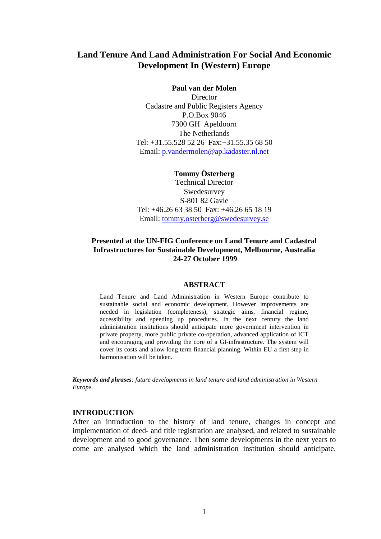# **Land Tenure And Land Administration For Social And Economic Development In (Western) Europe**

#### **Paul van der Molen**

**Director** Cadastre and Public Registers Agency P.O.Box 9046 7300 GH Apeldoorn The Netherlands Tel: +31.55.528 52 26 Fax:+31.55.35 68 50 Email: p.vandermolen@ap.kadaster.nl.net

# **Tommy Österberg** Technical Director

Swedesurvey S-801 82 Gavle Tel: +46.26 63 38 50 Fax: +46.26 65 18 19 Email: tommy.osterberg@swedesurvey.se

### **Presented at the UN-FIG Conference on Land Tenure and Cadastral Infrastructures for Sustainable Development, Melbourne, Australia 24-27 October 1999**

#### **ABSTRACT**

Land Tenure and Land Administration in Western Europe contribute to sustainable social and economic development. However improvements are needed in legislation (completeness), strategic aims, financial regime, accessibility and speeding up procedures. In the next century the land administration institutions should anticipate more government intervention in private property, more public private co-operation, advanced application of ICT and encouraging and providing the core of a GI-infrastructure. The system will cover its costs and allow long term financial planning. Within EU a first step in harmonisation will be taken.

*Keywords and phrases: future developments in land tenure and land administration in Western Europe.*

#### **INTRODUCTION**

After an introduction to the history of land tenure, changes in concept and implementation of deed- and title registration are analysed, and related to sustainable development and to good governance. Then some developments in the next years to come are analysed which the land administration institution should anticipate.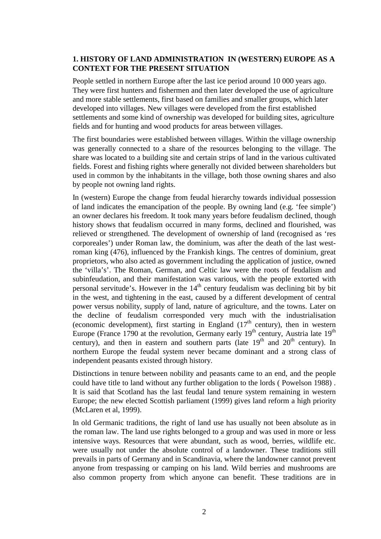### **1. HISTORY OF LAND ADMINISTRATION IN (WESTERN) EUROPE AS A CONTEXT FOR THE PRESENT SITUATION**

People settled in northern Europe after the last ice period around 10 000 years ago. They were first hunters and fishermen and then later developed the use of agriculture and more stable settlements, first based on families and smaller groups, which later developed into villages. New villages were developed from the first established settlements and some kind of ownership was developed for building sites, agriculture fields and for hunting and wood products for areas between villages.

The first boundaries were established between villages. Within the village ownership was generally connected to a share of the resources belonging to the village. The share was located to a building site and certain strips of land in the various cultivated fields. Forest and fishing rights where generally not divided between shareholders but used in common by the inhabitants in the village, both those owning shares and also by people not owning land rights.

In (western) Europe the change from feudal hierarchy towards individual possession of land indicates the emancipation of the people. By owning land (e.g. 'fee simple') an owner declares his freedom. It took many years before feudalism declined, though history shows that feudalism occurred in many forms, declined and flourished, was relieved or strengthened. The development of ownership of land (recognised as 'res corporeales') under Roman law, the dominium, was after the death of the last westroman king (476), influenced by the Frankish kings. The centres of dominium, great proprietors, who also acted as government including the application of justice, owned the 'villa's'. The Roman, German, and Celtic law were the roots of feudalism and subinfeudation, and their manifestation was various, with the people extorted with personal servitude's. However in the  $14<sup>th</sup>$  century feudalism was declining bit by bit in the west, and tightening in the east, caused by a different development of central power versus nobility, supply of land, nature of agriculture, and the towns. Later on the decline of feudalism corresponded very much with the industrialisation (economic development), first starting in England  $(17<sup>th</sup>$  century), then in western Europe (France 1790 at the revolution, Germany early  $19<sup>th</sup>$  century, Austria late  $19<sup>th</sup>$ century), and then in eastern and southern parts (late  $19<sup>th</sup>$  and  $20<sup>th</sup>$  century). In northern Europe the feudal system never became dominant and a strong class of independent peasants existed through history.

Distinctions in tenure between nobility and peasants came to an end, and the people could have title to land without any further obligation to the lords ( Powelson 1988) . It is said that Scotland has the last feudal land tenure system remaining in western Europe; the new elected Scottish parliament (1999) gives land reform a high priority (McLaren et al, 1999).

In old Germanic traditions, the right of land use has usually not been absolute as in the roman law. The land use rights belonged to a group and was used in more or less intensive ways. Resources that were abundant, such as wood, berries, wildlife etc. were usually not under the absolute control of a landowner. These traditions still prevails in parts of Germany and in Scandinavia, where the landowner cannot prevent anyone from trespassing or camping on his land. Wild berries and mushrooms are also common property from which anyone can benefit. These traditions are in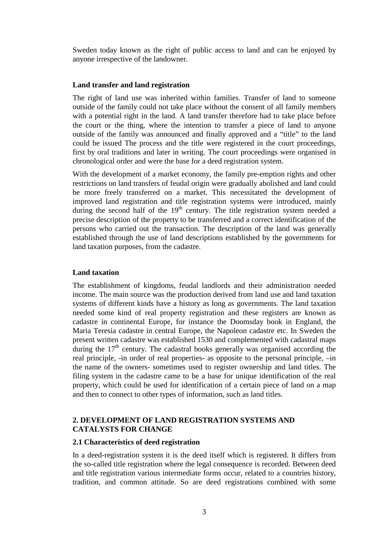Sweden today known as the right of public access to land and can be enjoyed by anyone irrespective of the landowner.

#### **Land transfer and land registration**

The right of land use was inherited within families. Transfer of land to someone outside of the family could not take place without the consent of all family members with a potential right in the land. A land transfer therefore had to take place before the court or the thing, where the intention to transfer a piece of land to anyone outside of the family was announced and finally approved and a "title" to the land could be issued The process and the title were registered in the court proceedings, first by oral traditions and later in writing. The court proceedings were organised in chronological order and were the base for a deed registration system.

With the development of a market economy, the family pre-emption rights and other restrictions on land transfers of feudal origin were gradually abolished and land could be more freely transferred on a market. This necessitated the development of improved land registration and title registration systems were introduced, mainly during the second half of the  $19<sup>th</sup>$  century. The title registration system needed a precise description of the property to be transferred and a correct identification of the persons who carried out the transaction. The description of the land was generally established through the use of land descriptions established by the governments for land taxation purposes, from the cadastre.

#### **Land taxation**

The establishment of kingdoms, feudal landlords and their administration needed income. The main source was the production derived from land use and land taxation systems of different kinds have a history as long as governments. The land taxation needed some kind of real property registration and these registers are known as cadastre in continental Europe, for instance the Doomsday book in England, the Maria Teresia cadastre in central Europe, the Napoleon cadastre etc. In Sweden the present written cadastre was established 1530 and complemented with cadastral maps during the  $17<sup>th</sup>$  century. The cadastral books generally was organised according the real principle, -in order of real properties- as opposite to the personal principle, –in the name of the owners- sometimes used to register ownership and land titles. The filing system in the cadastre came to be a base for unique identification of the real property, which could be used for identification of a certain piece of land on a map and then to connect to other types of information, such as land titles.

### **2. DEVELOPMENT OF LAND REGISTRATION SYSTEMS AND CATALYSTS FOR CHANGE**

#### **2.1 Characteristics of deed registration**

In a deed-registration system it is the deed itself which is registered. It differs from the so-called title registration where the legal consequence is recorded. Between deed and title registration various intermediate forms occur, related to a countries history, tradition, and common attitude. So are deed registrations combined with some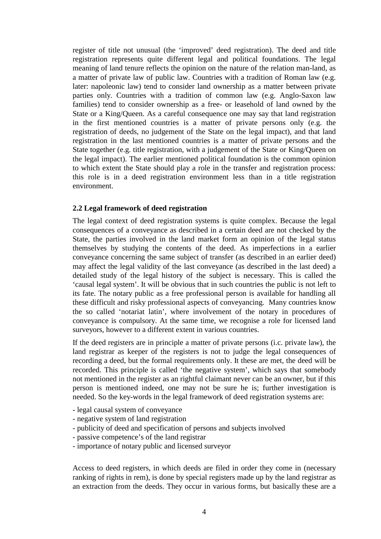register of title not unusual (the 'improved' deed registration). The deed and title registration represents quite different legal and political foundations. The legal meaning of land tenure reflects the opinion on the nature of the relation man-land, as a matter of private law of public law. Countries with a tradition of Roman law (e.g. later: napoleonic law) tend to consider land ownership as a matter between private parties only. Countries with a tradition of common law (e.g. Anglo-Saxon law families) tend to consider ownership as a free- or leasehold of land owned by the State or a King/Queen. As a careful consequence one may say that land registration in the first mentioned countries is a matter of private persons only (e.g. the registration of deeds, no judgement of the State on the legal impact), and that land registration in the last mentioned countries is a matter of private persons and the State together (e.g. title registration, with a judgement of the State or King/Queen on the legal impact). The earlier mentioned political foundation is the common opinion to which extent the State should play a role in the transfer and registration process: this role is in a deed registration environment less than in a title registration environment.

#### **2.2 Legal framework of deed registration**

The legal context of deed registration systems is quite complex. Because the legal consequences of a conveyance as described in a certain deed are not checked by the State, the parties involved in the land market form an opinion of the legal status themselves by studying the contents of the deed. As imperfections in a earlier conveyance concerning the same subject of transfer (as described in an earlier deed) may affect the legal validity of the last conveyance (as described in the last deed) a detailed study of the legal history of the subject is necessary. This is called the 'causal legal system'. It will be obvious that in such countries the public is not left to its fate. The notary public as a free professional person is available for handling all these difficult and risky professional aspects of conveyancing. Many countries know the so called 'notariat latin', where involvement of the notary in procedures of conveyance is compulsory. At the same time, we recognise a role for licensed land surveyors, however to a different extent in various countries.

If the deed registers are in principle a matter of private persons (i.c. private law), the land registrar as keeper of the registers is not to judge the legal consequences of recording a deed, but the formal requirements only. It these are met, the deed will be recorded. This principle is called 'the negative system', which says that somebody not mentioned in the register as an rightful claimant never can be an owner, but if this person is mentioned indeed, one may not be sure he is; further investigation is needed. So the key-words in the legal framework of deed registration systems are:

- legal causal system of conveyance
- negative system of land registration
- publicity of deed and specification of persons and subjects involved
- passive competence's of the land registrar
- importance of notary public and licensed surveyor

Access to deed registers, in which deeds are filed in order they come in (necessary ranking of rights in rem), is done by special registers made up by the land registrar as an extraction from the deeds. They occur in various forms, but basically these are a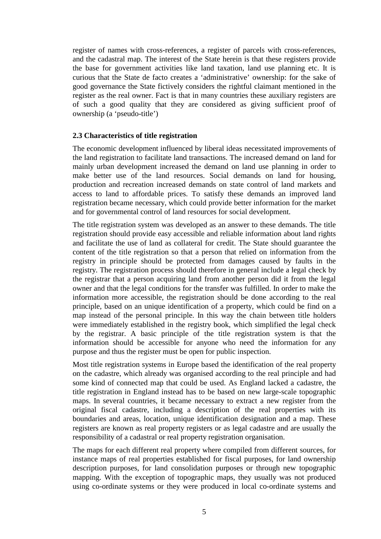register of names with cross-references, a register of parcels with cross-references, and the cadastral map. The interest of the State herein is that these registers provide the base for government activities like land taxation, land use planning etc. It is curious that the State de facto creates a 'administrative' ownership: for the sake of good governance the State fictively considers the rightful claimant mentioned in the register as the real owner. Fact is that in many countries these auxiliary registers are of such a good quality that they are considered as giving sufficient proof of ownership (a 'pseudo-title')

#### **2.3 Characteristics of title registration**

The economic development influenced by liberal ideas necessitated improvements of the land registration to facilitate land transactions. The increased demand on land for mainly urban development increased the demand on land use planning in order to make better use of the land resources. Social demands on land for housing, production and recreation increased demands on state control of land markets and access to land to affordable prices. To satisfy these demands an improved land registration became necessary, which could provide better information for the market and for governmental control of land resources for social development.

The title registration system was developed as an answer to these demands. The title registration should provide easy accessible and reliable information about land rights and facilitate the use of land as collateral for credit. The State should guarantee the content of the title registration so that a person that relied on information from the registry in principle should be protected from damages caused by faults in the registry. The registration process should therefore in general include a legal check by the registrar that a person acquiring land from another person did it from the legal owner and that the legal conditions for the transfer was fulfilled. In order to make the information more accessible, the registration should be done according to the real principle, based on an unique identification of a property, which could be find on a map instead of the personal principle. In this way the chain between title holders were immediately established in the registry book, which simplified the legal check by the registrar. A basic principle of the title registration system is that the information should be accessible for anyone who need the information for any purpose and thus the register must be open for public inspection.

Most title registration systems in Europe based the identification of the real property on the cadastre, which already was organised according to the real principle and had some kind of connected map that could be used. As England lacked a cadastre, the title registration in England instead has to be based on new large-scale topographic maps. In several countries, it became necessary to extract a new register from the original fiscal cadastre, including a description of the real properties with its boundaries and areas, location, unique identification designation and a map. These registers are known as real property registers or as legal cadastre and are usually the responsibility of a cadastral or real property registration organisation.

The maps for each different real property where compiled from different sources, for instance maps of real properties established for fiscal purposes, for land ownership description purposes, for land consolidation purposes or through new topographic mapping. With the exception of topographic maps, they usually was not produced using co-ordinate systems or they were produced in local co-ordinate systems and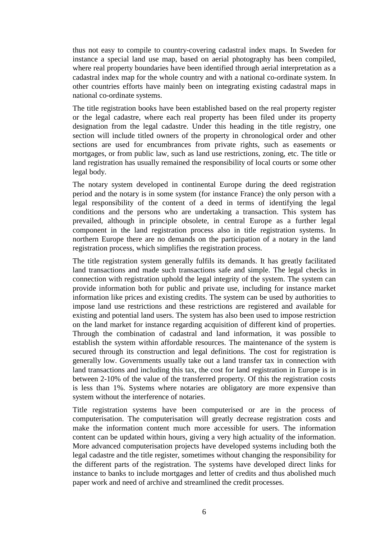thus not easy to compile to country-covering cadastral index maps. In Sweden for instance a special land use map, based on aerial photography has been compiled, where real property boundaries have been identified through aerial interpretation as a cadastral index map for the whole country and with a national co-ordinate system. In other countries efforts have mainly been on integrating existing cadastral maps in national co-ordinate systems.

The title registration books have been established based on the real property register or the legal cadastre, where each real property has been filed under its property designation from the legal cadastre. Under this heading in the title registry, one section will include titled owners of the property in chronological order and other sections are used for encumbrances from private rights, such as easements or mortgages, or from public law, such as land use restrictions, zoning, etc. The title or land registration has usually remained the responsibility of local courts or some other legal body.

The notary system developed in continental Europe during the deed registration period and the notary is in some system (for instance France) the only person with a legal responsibility of the content of a deed in terms of identifying the legal conditions and the persons who are undertaking a transaction. This system has prevailed, although in principle obsolete, in central Europe as a further legal component in the land registration process also in title registration systems. In northern Europe there are no demands on the participation of a notary in the land registration process, which simplifies the registration process.

The title registration system generally fulfils its demands. It has greatly facilitated land transactions and made such transactions safe and simple. The legal checks in connection with registration uphold the legal integrity of the system. The system can provide information both for public and private use, including for instance market information like prices and existing credits. The system can be used by authorities to impose land use restrictions and these restrictions are registered and available for existing and potential land users. The system has also been used to impose restriction on the land market for instance regarding acquisition of different kind of properties. Through the combination of cadastral and land information, it was possible to establish the system within affordable resources. The maintenance of the system is secured through its construction and legal definitions. The cost for registration is generally low. Governments usually take out a land transfer tax in connection with land transactions and including this tax, the cost for land registration in Europe is in between 2-10% of the value of the transferred property. Of this the registration costs is less than 1%. Systems where notaries are obligatory are more expensive than system without the interference of notaries.

Title registration systems have been computerised or are in the process of computerisation. The computerisation will greatly decrease registration costs and make the information content much more accessible for users. The information content can be updated within hours, giving a very high actuality of the information. More advanced computerisation projects have developed systems including both the legal cadastre and the title register, sometimes without changing the responsibility for the different parts of the registration. The systems have developed direct links for instance to banks to include mortgages and letter of credits and thus abolished much paper work and need of archive and streamlined the credit processes.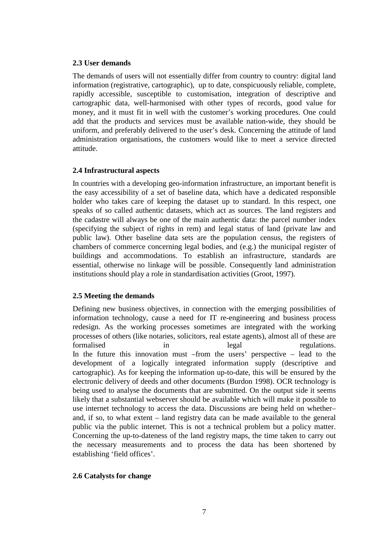### **2.3 User demands**

The demands of users will not essentially differ from country to country: digital land information (registrative, cartographic), up to date, conspicuously reliable, complete, rapidly accessible, susceptible to customisation, integration of descriptive and cartographic data, well-harmonised with other types of records, good value for money, and it must fit in well with the customer's working procedures. One could add that the products and services must be available nation-wide, they should be uniform, and preferably delivered to the user's desk. Concerning the attitude of land administration organisations, the customers would like to meet a service directed attitude.

### **2.4 Infrastructural aspects**

In countries with a developing geo-information infrastructure, an important benefit is the easy accessibility of a set of baseline data, which have a dedicated responsible holder who takes care of keeping the dataset up to standard. In this respect, one speaks of so called authentic datasets, which act as sources. The land registers and the cadastre will always be one of the main authentic data: the parcel number index (specifying the subject of rights in rem) and legal status of land (private law and public law). Other baseline data sets are the population census, the registers of chambers of commerce concerning legal bodies, and (e.g.) the municipal register of buildings and accommodations. To establish an infrastructure, standards are essential, otherwise no linkage will be possible. Consequently land administration institutions should play a role in standardisation activities (Groot, 1997).

### **2.5 Meeting the demands**

Defining new business objectives, in connection with the emerging possibilities of information technology, cause a need for IT re-engineering and business process redesign. As the working processes sometimes are integrated with the working processes of others (like notaries, solicitors, real estate agents), almost all of these are formalised in the legal regulations. In the future this innovation must –from the users' perspective – lead to the development of a logically integrated information supply (descriptive and cartographic). As for keeping the information up-to-date, this will be ensured by the electronic delivery of deeds and other documents (Burdon 1998). OCR technology is being used to analyse the documents that are submitted. On the output side it seems likely that a substantial webserver should be available which will make it possible to use internet technology to access the data. Discussions are being held on whether– and, if so, to what extent – land registry data can be made available to the general public via the public internet. This is not a technical problem but a policy matter. Concerning the up-to-dateness of the land registry maps, the time taken to carry out the necessary measurements and to process the data has been shortened by establishing 'field offices'.

### **2.6 Catalysts for change**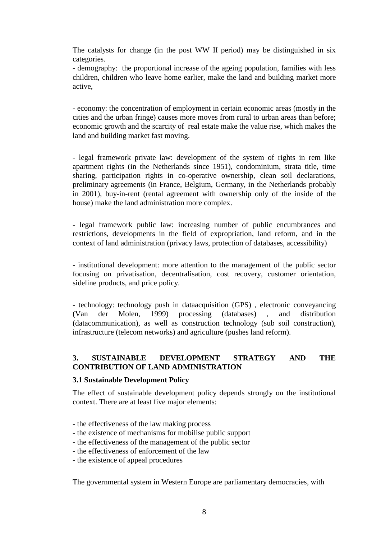The catalysts for change (in the post WW II period) may be distinguished in six categories.

- demography: the proportional increase of the ageing population, families with less children, children who leave home earlier, make the land and building market more active,

- economy: the concentration of employment in certain economic areas (mostly in the cities and the urban fringe) causes more moves from rural to urban areas than before; economic growth and the scarcity of real estate make the value rise, which makes the land and building market fast moving.

- legal framework private law: development of the system of rights in rem like apartment rights (in the Netherlands since 1951), condominium, strata title, time sharing, participation rights in co-operative ownership, clean soil declarations, preliminary agreements (in France, Belgium, Germany, in the Netherlands probably in 2001), buy-in-rent (rental agreement with ownership only of the inside of the house) make the land administration more complex.

- legal framework public law: increasing number of public encumbrances and restrictions, developments in the field of expropriation, land reform, and in the context of land administration (privacy laws, protection of databases, accessibility)

- institutional development: more attention to the management of the public sector focusing on privatisation, decentralisation, cost recovery, customer orientation, sideline products, and price policy.

- technology: technology push in dataacquisition (GPS) , electronic conveyancing (Van der Molen, 1999) processing (databases) , and distribution (datacommunication), as well as construction technology (sub soil construction), infrastructure (telecom networks) and agriculture (pushes land reform).

## **3. SUSTAINABLE DEVELOPMENT STRATEGY AND THE CONTRIBUTION OF LAND ADMINISTRATION**

#### **3.1 Sustainable Development Policy**

The effect of sustainable development policy depends strongly on the institutional context. There are at least five major elements:

- the effectiveness of the law making process
- the existence of mechanisms for mobilise public support
- the effectiveness of the management of the public sector
- the effectiveness of enforcement of the law
- the existence of appeal procedures

The governmental system in Western Europe are parliamentary democracies, with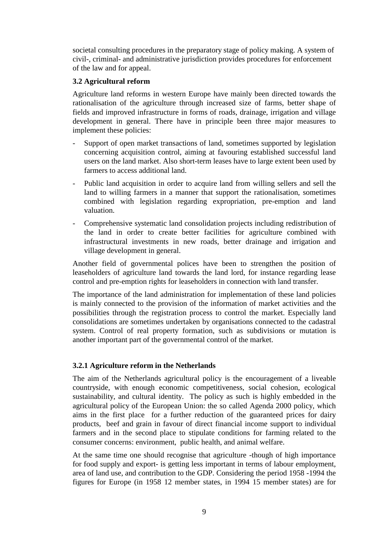societal consulting procedures in the preparatory stage of policy making. A system of civil-, criminal- and administrative jurisdiction provides procedures for enforcement of the law and for appeal.

### **3.2 Agricultural reform**

Agriculture land reforms in western Europe have mainly been directed towards the rationalisation of the agriculture through increased size of farms, better shape of fields and improved infrastructure in forms of roads, drainage, irrigation and village development in general. There have in principle been three major measures to implement these policies:

- Support of open market transactions of land, sometimes supported by legislation concerning acquisition control, aiming at favouring established successful land users on the land market. Also short-term leases have to large extent been used by farmers to access additional land.
- Public land acquisition in order to acquire land from willing sellers and sell the land to willing farmers in a manner that support the rationalisation, sometimes combined with legislation regarding expropriation, pre-emption and land valuation.
- Comprehensive systematic land consolidation projects including redistribution of the land in order to create better facilities for agriculture combined with infrastructural investments in new roads, better drainage and irrigation and village development in general.

Another field of governmental polices have been to strengthen the position of leaseholders of agriculture land towards the land lord, for instance regarding lease control and pre-emption rights for leaseholders in connection with land transfer.

The importance of the land administration for implementation of these land policies is mainly connected to the provision of the information of market activities and the possibilities through the registration process to control the market. Especially land consolidations are sometimes undertaken by organisations connected to the cadastral system. Control of real property formation, such as subdivisions or mutation is another important part of the governmental control of the market.

### **3.2.1 Agriculture reform in the Netherlands**

The aim of the Netherlands agricultural policy is the encouragement of a liveable countryside, with enough economic competitiveness, social cohesion, ecological sustainability, and cultural identity. The policy as such is highly embedded in the agricultural policy of the European Union: the so called Agenda 2000 policy, which aims in the first place for a further reduction of the guaranteed prices for dairy products, beef and grain in favour of direct financial income support to individual farmers and in the second place to stipulate conditions for farming related to the consumer concerns: environment, public health, and animal welfare.

At the same time one should recognise that agriculture -though of high importance for food supply and export- is getting less important in terms of labour employment, area of land use, and contribution to the GDP. Considering the period 1958 -1994 the figures for Europe (in 1958 12 member states, in 1994 15 member states) are for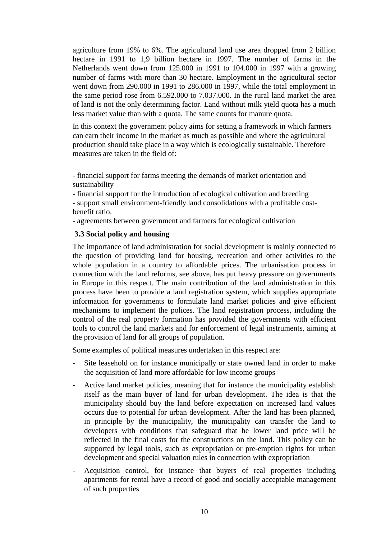agriculture from 19% to 6%. The agricultural land use area dropped from 2 billion hectare in 1991 to 1,9 billion hectare in 1997. The number of farms in the Netherlands went down from 125.000 in 1991 to 104.000 in 1997 with a growing number of farms with more than 30 hectare. Employment in the agricultural sector went down from 290.000 in 1991 to 286.000 in 1997, while the total employment in the same period rose from 6.592.000 to 7.037.000. In the rural land market the area of land is not the only determining factor. Land without milk yield quota has a much less market value than with a quota. The same counts for manure quota.

In this context the government policy aims for setting a framework in which farmers can earn their income in the market as much as possible and where the agricultural production should take place in a way which is ecologically sustainable. Therefore measures are taken in the field of

- financial support for farms meeting the demands of market orientation and sustainability

- financial support for the introduction of ecological cultivation and breeding - support small environment-friendly land consolidations with a profitable costbenefit ratio.

- agreements between government and farmers for ecological cultivation

### **3.3 Social policy and housing**

The importance of land administration for social development is mainly connected to the question of providing land for housing, recreation and other activities to the whole population in a country to affordable prices. The urbanisation process in connection with the land reforms, see above, has put heavy pressure on governments in Europe in this respect. The main contribution of the land administration in this process have been to provide a land registration system, which supplies appropriate information for governments to formulate land market policies and give efficient mechanisms to implement the polices. The land registration process, including the control of the real property formation has provided the governments with efficient tools to control the land markets and for enforcement of legal instruments, aiming at the provision of land for all groups of population.

Some examples of political measures undertaken in this respect are:

- Site leasehold on for instance municipally or state owned land in order to make the acquisition of land more affordable for low income groups
- Active land market policies, meaning that for instance the municipality establish itself as the main buyer of land for urban development. The idea is that the municipality should buy the land before expectation on increased land values occurs due to potential for urban development. After the land has been planned, in principle by the municipality, the municipality can transfer the land to developers with conditions that safeguard that he lower land price will be reflected in the final costs for the constructions on the land. This policy can be supported by legal tools, such as expropriation or pre-emption rights for urban development and special valuation rules in connection with expropriation
- Acquisition control, for instance that buyers of real properties including apartments for rental have a record of good and socially acceptable management of such properties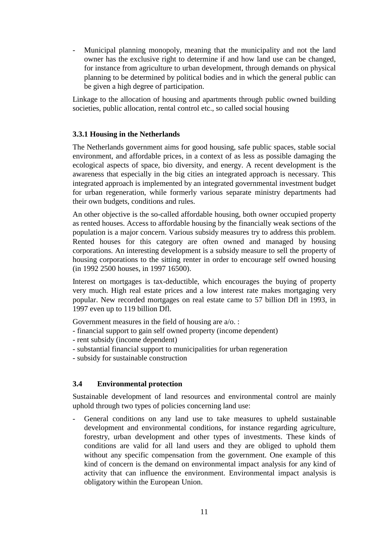Municipal planning monopoly, meaning that the municipality and not the land owner has the exclusive right to determine if and how land use can be changed, for instance from agriculture to urban development, through demands on physical planning to be determined by political bodies and in which the general public can be given a high degree of participation.

Linkage to the allocation of housing and apartments through public owned building societies, public allocation, rental control etc., so called social housing

### **3.3.1 Housing in the Netherlands**

The Netherlands government aims for good housing, safe public spaces, stable social environment, and affordable prices, in a context of as less as possible damaging the ecological aspects of space, bio diversity, and energy. A recent development is the awareness that especially in the big cities an integrated approach is necessary. This integrated approach is implemented by an integrated governmental investment budget for urban regeneration, while formerly various separate ministry departments had their own budgets, conditions and rules.

An other objective is the so-called affordable housing, both owner occupied property as rented houses. Access to affordable housing by the financially weak sections of the population is a major concern. Various subsidy measures try to address this problem. Rented houses for this category are often owned and managed by housing corporations. An interesting development is a subsidy measure to sell the property of housing corporations to the sitting renter in order to encourage self owned housing (in 1992 2500 houses, in 1997 16500).

Interest on mortgages is tax-deductible, which encourages the buying of property very much. High real estate prices and a low interest rate makes mortgaging very popular. New recorded mortgages on real estate came to 57 billion Dfl in 1993, in 1997 even up to 119 billion Dfl.

Government measures in the field of housing are a/o. :

- financial support to gain self owned property (income dependent)
- rent subsidy (income dependent)
- substantial financial support to municipalities for urban regeneration
- subsidy for sustainable construction

#### **3.4 Environmental protection**

Sustainable development of land resources and environmental control are mainly uphold through two types of policies concerning land use:

- General conditions on any land use to take measures to upheld sustainable development and environmental conditions, for instance regarding agriculture, forestry, urban development and other types of investments. These kinds of conditions are valid for all land users and they are obliged to uphold them without any specific compensation from the government. One example of this kind of concern is the demand on environmental impact analysis for any kind of activity that can influence the environment. Environmental impact analysis is obligatory within the European Union.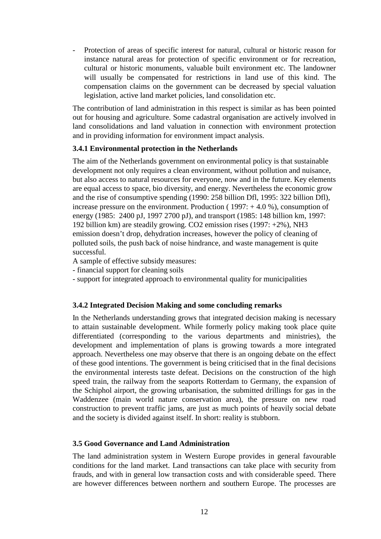Protection of areas of specific interest for natural, cultural or historic reason for instance natural areas for protection of specific environment or for recreation, cultural or historic monuments, valuable built environment etc. The landowner will usually be compensated for restrictions in land use of this kind. The compensation claims on the government can be decreased by special valuation legislation, active land market policies, land consolidation etc.

The contribution of land administration in this respect is similar as has been pointed out for housing and agriculture. Some cadastral organisation are actively involved in land consolidations and land valuation in connection with environment protection and in providing information for environment impact analysis.

### **3.4.1 Environmental protection in the Netherlands**

The aim of the Netherlands government on environmental policy is that sustainable development not only requires a clean environment, without pollution and nuisance, but also access to natural resources for everyone, now and in the future. Key elements are equal access to space, bio diversity, and energy. Nevertheless the economic grow and the rise of consumptive spending (1990: 258 billion Dfl, 1995: 322 billion Dfl), increase pressure on the environment. Production ( $1997: +4.0$ %), consumption of energy (1985: 2400 pJ, 1997 2700 pJ), and transport (1985: 148 billion km, 1997: 192 billion km) are steadily growing. CO2 emission rises (1997: +2%), NH3 emission doesn't drop, dehydration increases, however the policy of cleaning of polluted soils, the push back of noise hindrance, and waste management is quite successful.

A sample of effective subsidy measures:

- financial support for cleaning soils
- support for integrated approach to environmental quality for municipalities

### **3.4.2 Integrated Decision Making and some concluding remarks**

In the Netherlands understanding grows that integrated decision making is necessary to attain sustainable development. While formerly policy making took place quite differentiated (corresponding to the various departments and ministries), the development and implementation of plans is growing towards a more integrated approach. Nevertheless one may observe that there is an ongoing debate on the effect of these good intentions. The government is being criticised that in the final decisions the environmental interests taste defeat. Decisions on the construction of the high speed train, the railway from the seaports Rotterdam to Germany, the expansion of the Schiphol airport, the growing urbanisation, the submitted drillings for gas in the Waddenzee (main world nature conservation area), the pressure on new road construction to prevent traffic jams, are just as much points of heavily social debate and the society is divided against itself. In short: reality is stubborn.

#### **3.5 Good Governance and Land Administration**

The land administration system in Western Europe provides in general favourable conditions for the land market. Land transactions can take place with security from frauds, and with in general low transaction costs and with considerable speed. There are however differences between northern and southern Europe. The processes are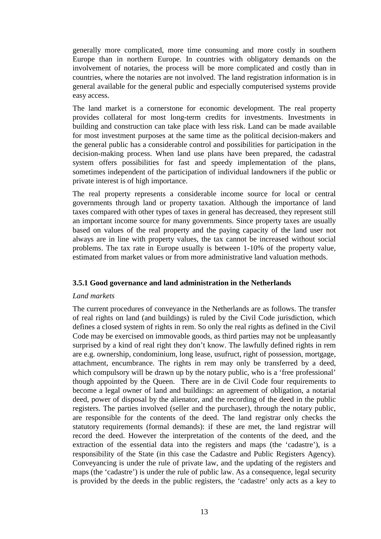generally more complicated, more time consuming and more costly in southern Europe than in northern Europe. In countries with obligatory demands on the involvement of notaries, the process will be more complicated and costly than in countries, where the notaries are not involved. The land registration information is in general available for the general public and especially computerised systems provide easy access.

The land market is a cornerstone for economic development. The real property provides collateral for most long-term credits for investments. Investments in building and construction can take place with less risk. Land can be made available for most investment purposes at the same time as the political decision-makers and the general public has a considerable control and possibilities for participation in the decision-making process. When land use plans have been prepared, the cadastral system offers possibilities for fast and speedy implementation of the plans, sometimes independent of the participation of individual landowners if the public or private interest is of high importance.

The real property represents a considerable income source for local or central governments through land or property taxation. Although the importance of land taxes compared with other types of taxes in general has decreased, they represent still an important income source for many governments. Since property taxes are usually based on values of the real property and the paying capacity of the land user not always are in line with property values, the tax cannot be increased without social problems. The tax rate in Europe usually is between 1-10% of the property value, estimated from market values or from more administrative land valuation methods.

### **3.5.1 Good governance and land administration in the Netherlands**

#### *Land markets*

The current procedures of conveyance in the Netherlands are as follows. The transfer of real rights on land (and buildings) is ruled by the Civil Code jurisdiction, which defines a closed system of rights in rem. So only the real rights as defined in the Civil Code may be exercised on immovable goods, as third parties may not be unpleasantly surprised by a kind of real right they don't know. The lawfully defined rights in rem are e.g. ownership, condominium, long lease, usufruct, right of possession, mortgage, attachment, encumbrance. The rights in rem may only be transferred by a deed, which compulsory will be drawn up by the notary public, who is a 'free professional' though appointed by the Queen. There are in de Civil Code four requirements to become a legal owner of land and buildings: an agreement of obligation, a notarial deed, power of disposal by the alienator, and the recording of the deed in the public registers. The parties involved (seller and the purchaser), through the notary public, are responsible for the contents of the deed. The land registrar only checks the statutory requirements (formal demands): if these are met, the land registrar will record the deed. However the interpretation of the contents of the deed, and the extraction of the essential data into the registers and maps (the 'cadastre'), is a responsibility of the State (in this case the Cadastre and Public Registers Agency). Conveyancing is under the rule of private law, and the updating of the registers and maps (the 'cadastre') is under the rule of public law. As a consequence, legal security is provided by the deeds in the public registers, the 'cadastre' only acts as a key to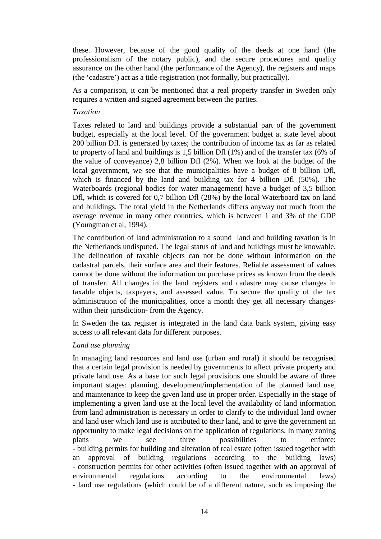these. However, because of the good quality of the deeds at one hand (the professionalism of the notary public), and the secure procedures and quality assurance on the other hand (the performance of the Agency), the registers and maps (the 'cadastre') act as a title-registration (not formally, but practically).

As a comparison, it can be mentioned that a real property transfer in Sweden only requires a written and signed agreement between the parties.

#### *Taxation*

Taxes related to land and buildings provide a substantial part of the government budget, especially at the local level. Of the government budget at state level about 200 billion Dfl. is generated by taxes; the contribution of income tax as far as related to property of land and buildings is 1,5 billion Dfl (1%) and of the transfer tax (6% of the value of conveyance) 2,8 billion Dfl (2%). When we look at the budget of the local government, we see that the municipalities have a budget of 8 billion Dfl, which is financed by the land and building tax for 4 billion Dfl (50%). The Waterboards (regional bodies for water management) have a budget of 3,5 billion Dfl, which is covered for 0,7 billion Dfl (28%) by the local Waterboard tax on land and buildings. The total yield in the Netherlands differs anyway not much from the average revenue in many other countries, which is between 1 and 3% of the GDP (Youngman et al, 1994).

The contribution of land administration to a sound land and building taxation is in the Netherlands undisputed. The legal status of land and buildings must be knowable. The delineation of taxable objects can not be done without information on the cadastral parcels, their surface area and their features. Reliable assessment of values cannot be done without the information on purchase prices as known from the deeds of transfer. All changes in the land registers and cadastre may cause changes in taxable objects, taxpayers, and assessed value. To secure the quality of the tax administration of the municipalities, once a month they get all necessary changeswithin their jurisdiction- from the Agency.

In Sweden the tax register is integrated in the land data bank system, giving easy access to all relevant data for different purposes.

#### *Land use planning*

In managing land resources and land use (urban and rural) it should be recognised that a certain legal provision is needed by governments to affect private property and private land use. As a base for such legal provisions one should be aware of three important stages: planning, development/implementation of the planned land use, and maintenance to keep the given land use in proper order. Especially in the stage of implementing a given land use at the local level the availability of land information from land administration is necessary in order to clarify to the individual land owner and land user which land use is attributed to their land, and to give the government an opportunity to make legal decisions on the application of regulations. In many zoning plans we see three possibilities to enforce: - building permits for building and alteration of real estate (often issued together with an approval of building regulations according to the building laws) - construction permits for other activities (often issued together with an approval of environmental regulations according to the environmental laws) - land use regulations (which could be of a different nature, such as imposing the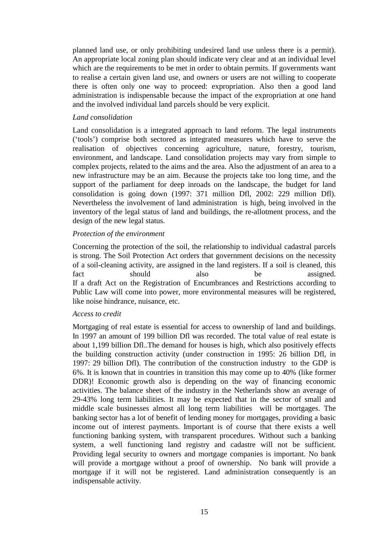planned land use, or only prohibiting undesired land use unless there is a permit). An appropriate local zoning plan should indicate very clear and at an individual level which are the requirements to be met in order to obtain permits. If governments want to realise a certain given land use, and owners or users are not willing to cooperate there is often only one way to proceed: expropriation. Also then a good land administration is indispensable because the impact of the expropriation at one hand and the involved individual land parcels should be very explicit.

#### *Land consolidation*

Land consolidation is a integrated approach to land reform. The legal instruments ('tools') comprise both sectored as integrated measures which have to serve the realisation of objectives concerning agriculture, nature, forestry, tourism, environment, and landscape. Land consolidation projects may vary from simple to complex projects, related to the aims and the area. Also the adjustment of an area to a new infrastructure may be an aim. Because the projects take too long time, and the support of the parliament for deep inroads on the landscape, the budget for land consolidation is going down (1997: 371 million Dfl, 2002: 229 million Dfl). Nevertheless the involvement of land administration is high, being involved in the inventory of the legal status of land and buildings, the re-allotment process, and the design of the new legal status.

### *Protection of the environment*

Concerning the protection of the soil, the relationship to individual cadastral parcels is strong. The Soil Protection Act orders that government decisions on the necessity of a soil-cleaning activity, are assigned in the land registers. If a soil is cleaned, this fact should also be assigned. If a draft Act on the Registration of Encumbrances and Restrictions according to Public Law will come into power, more environmental measures will be registered, like noise hindrance, nuisance, etc.

#### *Access to credit*

Mortgaging of real estate is essential for access to ownership of land and buildings. In 1997 an amount of 199 billion Dfl was recorded. The total value of real estate is about 1,199 billion Dfl..The demand for houses is high, which also positively effects the building construction activity (under construction in 1995: 26 billion Dfl, in 1997: 29 billion Dfl). The contribution of the construction industry to the GDP is 6%. It is known that in countries in transition this may come up to 40% (like former DDR)! Economic growth also is depending on the way of financing economic activities. The balance sheet of the industry in the Netherlands show an average of 29-43% long term liabilities. It may be expected that in the sector of small and middle scale businesses almost all long term liabilities will be mortgages. The banking sector has a lot of benefit of lending money for mortgages, providing a basic income out of interest payments. Important is of course that there exists a well functioning banking system, with transparent procedures. Without such a banking system, a well functioning land registry and cadastre will not be sufficient. Providing legal security to owners and mortgage companies is important. No bank will provide a mortgage without a proof of ownership. No bank will provide a mortgage if it will not be registered. Land administration consequently is an indispensable activity.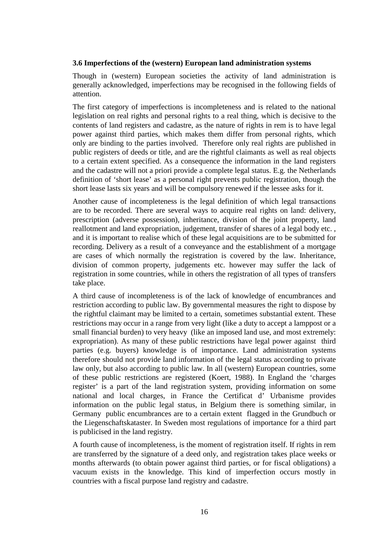### **3.6 Imperfections of the (western) European land administration systems**

Though in (western) European societies the activity of land administration is generally acknowledged, imperfections may be recognised in the following fields of attention.

The first category of imperfections is incompleteness and is related to the national legislation on real rights and personal rights to a real thing, which is decisive to the contents of land registers and cadastre, as the nature of rights in rem is to have legal power against third parties, which makes them differ from personal rights, which only are binding to the parties involved. Therefore only real rights are published in public registers of deeds or title, and are the rightful claimants as well as real objects to a certain extent specified. As a consequence the information in the land registers and the cadastre will not a priori provide a complete legal status. E.g. the Netherlands definition of 'short lease' as a personal right prevents public registration, though the short lease lasts six years and will be compulsory renewed if the lessee asks for it.

Another cause of incompleteness is the legal definition of which legal transactions are to be recorded. There are several ways to acquire real rights on land: delivery, prescription (adverse possession), inheritance, division of the joint property, land reallotment and land expropriation, judgement, transfer of shares of a legal body etc. , and it is important to realise which of these legal acquisitions are to be submitted for recording. Delivery as a result of a conveyance and the establishment of a mortgage are cases of which normally the registration is covered by the law. Inheritance, division of common property, judgements etc. however may suffer the lack of registration in some countries, while in others the registration of all types of transfers take place.

A third cause of incompleteness is of the lack of knowledge of encumbrances and restriction according to public law. By governmental measures the right to dispose by the rightful claimant may be limited to a certain, sometimes substantial extent. These restrictions may occur in a range from very light (like a duty to accept a lamppost or a small financial burden) to very heavy (like an imposed land use, and most extremely: expropriation). As many of these public restrictions have legal power against third parties (e.g. buyers) knowledge is of importance. Land administration systems therefore should not provide land information of the legal status according to private law only, but also according to public law. In all (western) European countries, some of these public restrictions are registered (Koert, 1988). In England the 'charges register' is a part of the land registration system, providing information on some national and local charges, in France the Certificat d' Urbanisme provides information on the public legal status, in Belgium there is something similar, in Germany public encumbrances are to a certain extent flagged in the Grundbuch or the Liegenschaftskataster. In Sweden most regulations of importance for a third part is publicised in the land registry.

A fourth cause of incompleteness, is the moment of registration itself. If rights in rem are transferred by the signature of a deed only, and registration takes place weeks or months afterwards (to obtain power against third parties, or for fiscal obligations) a vacuum exists in the knowledge. This kind of imperfection occurs mostly in countries with a fiscal purpose land registry and cadastre.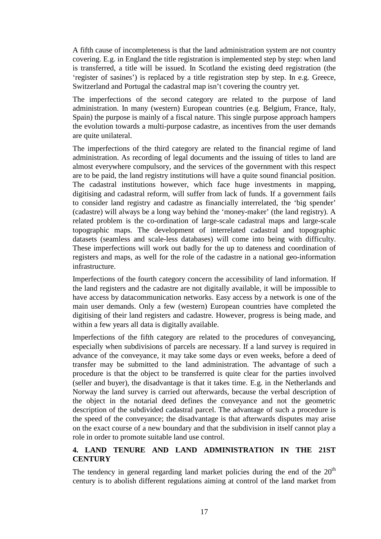A fifth cause of incompleteness is that the land administration system are not country covering. E.g. in England the title registration is implemented step by step: when land is transferred, a title will be issued. In Scotland the existing deed registration (the 'register of sasines') is replaced by a title registration step by step. In e.g. Greece, Switzerland and Portugal the cadastral map isn't covering the country yet.

The imperfections of the second category are related to the purpose of land administration. In many (western) European countries (e.g. Belgium, France, Italy, Spain) the purpose is mainly of a fiscal nature. This single purpose approach hampers the evolution towards a multi-purpose cadastre, as incentives from the user demands are quite unilateral.

The imperfections of the third category are related to the financial regime of land administration. As recording of legal documents and the issuing of titles to land are almost everywhere compulsory, and the services of the government with this respect are to be paid, the land registry institutions will have a quite sound financial position. The cadastral institutions however, which face huge investments in mapping, digitising and cadastral reform, will suffer from lack of funds. If a government fails to consider land registry and cadastre as financially interrelated, the 'big spender' (cadastre) will always be a long way behind the 'money-maker' (the land registry). A related problem is the co-ordination of large-scale cadastral maps and large-scale topographic maps. The development of interrelated cadastral and topographic datasets (seamless and scale-less databases) will come into being with difficulty. These imperfections will work out badly for the up to dateness and coordination of registers and maps, as well for the role of the cadastre in a national geo-information infrastructure.

Imperfections of the fourth category concern the accessibility of land information. If the land registers and the cadastre are not digitally available, it will be impossible to have access by datacommunication networks. Easy access by a network is one of the main user demands. Only a few (western) European countries have completed the digitising of their land registers and cadastre. However, progress is being made, and within a few years all data is digitally available.

Imperfections of the fifth category are related to the procedures of conveyancing, especially when subdivisions of parcels are necessary. If a land survey is required in advance of the conveyance, it may take some days or even weeks, before a deed of transfer may be submitted to the land administration. The advantage of such a procedure is that the object to be transferred is quite clear for the parties involved (seller and buyer), the disadvantage is that it takes time. E.g. in the Netherlands and Norway the land survey is carried out afterwards, because the verbal description of the object in the notarial deed defines the conveyance and not the geometric description of the subdivided cadastral parcel. The advantage of such a procedure is the speed of the conveyance; the disadvantage is that afterwards disputes may arise on the exact course of a new boundary and that the subdivision in itself cannot play a role in order to promote suitable land use control.

# **4. LAND TENURE AND LAND ADMINISTRATION IN THE 21ST CENTURY**

The tendency in general regarding land market policies during the end of the  $20<sup>th</sup>$ century is to abolish different regulations aiming at control of the land market from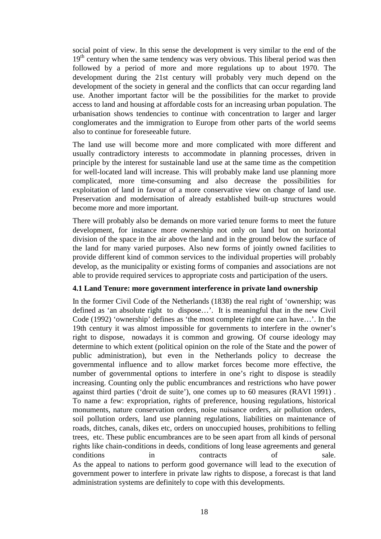social point of view. In this sense the development is very similar to the end of the  $19<sup>th</sup>$  century when the same tendency was very obvious. This liberal period was then followed by a period of more and more regulations up to about 1970. The development during the 21st century will probably very much depend on the development of the society in general and the conflicts that can occur regarding land use. Another important factor will be the possibilities for the market to provide access to land and housing at affordable costs for an increasing urban population. The urbanisation shows tendencies to continue with concentration to larger and larger conglomerates and the immigration to Europe from other parts of the world seems also to continue for foreseeable future.

The land use will become more and more complicated with more different and usually contradictory interests to accommodate in planning processes, driven in principle by the interest for sustainable land use at the same time as the competition for well-located land will increase. This will probably make land use planning more complicated, more time-consuming and also decrease the possibilities for exploitation of land in favour of a more conservative view on change of land use. Preservation and modernisation of already established built-up structures would become more and more important.

There will probably also be demands on more varied tenure forms to meet the future development, for instance more ownership not only on land but on horizontal division of the space in the air above the land and in the ground below the surface of the land for many varied purposes. Also new forms of jointly owned facilities to provide different kind of common services to the individual properties will probably develop, as the municipality or existing forms of companies and associations are not able to provide required services to appropriate costs and participation of the users.

#### **4.1 Land Tenure: more government interference in private land ownership**

In the former Civil Code of the Netherlands (1838) the real right of 'ownership; was defined as 'an absolute right to dispose…'. It is meaningful that in the new Civil Code (1992) 'ownership' defines as 'the most complete right one can have…'. In the 19th century it was almost impossible for governments to interfere in the owner's right to dispose, nowadays it is common and growing. Of course ideology may determine to which extent (political opinion on the role of the State and the power of public administration), but even in the Netherlands policy to decrease the governmental influence and to allow market forces become more effective, the number of governmental options to interfere in one's right to dispose is steadily increasing. Counting only the public encumbrances and restrictions who have power against third parties ('droit de suite'), one comes up to 60 measures (RAVI 1991) . To name a few: expropriation, rights of preference, housing regulations, historical monuments, nature conservation orders, noise nuisance orders, air pollution orders, soil pollution orders, land use planning regulations, liabilities on maintenance of roads, ditches, canals, dikes etc, orders on unoccupied houses, prohibitions to felling trees, etc. These public encumbrances are to be seen apart from all kinds of personal rights like chain-conditions in deeds, conditions of long lease agreements and general conditions in contracts of sale. As the appeal to nations to perform good governance will lead to the execution of government power to interfere in private law rights to dispose, a forecast is that land administration systems are definitely to cope with this developments.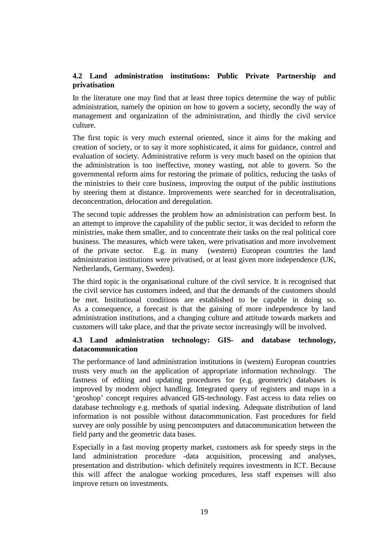### **4.2 Land administration institutions: Public Private Partnership and privatisation**

In the literature one may find that at least three topics determine the way of public administration, namely the opinion on how to govern a society, secondly the way of management and organization of the administration, and thirdly the civil service culture.

The first topic is very much external oriented, since it aims for the making and creation of society, or to say it more sophisticated, it aims for guidance, control and evaluation of society. Administrative reform is very much based on the opinion that the administration is too ineffective, money wasting, not able to govern. So the governmental reform aims for restoring the primate of politics, reducing the tasks of the ministries to their core business, improving the output of the public institutions by steering them at distance. Improvements were searched for in decentralisation, deconcentration, delocation and deregulation.

The second topic addresses the problem how an administration can perform best. In an attempt to improve the capability of the public sector, it was decided to reform the ministries, make them smaller, and to concentrate their tasks on the real political core business. The measures, which were taken, were privatisation and more involvement of the private sector. E.g. in many (western) European countries the land administration institutions were privatised, or at least given more independence (UK, Netherlands, Germany, Sweden).

The third topic is the organisational culture of the civil service. It is recognised that the civil service has customers indeed, and that the demands of the customers should be met. Institutional conditions are established to be capable in doing so. As a consequence, a forecast is that the gaining of more independence by land administration institutions, and a changing culture and attitude towards markets and customers will take place, and that the private sector increasingly will be involved.

### **4.3 Land administration technology: GIS- and database technology, datacommunication**

The performance of land administration institutions in (western) European countries trusts very much on the application of appropriate information technology. The fastness of editing and updating procedures for (e.g. geometric) databases is improved by modern object handling. Integrated query of registers and maps in a 'geoshop' concept requires advanced GIS-technology. Fast access to data relies on database technology e.g. methods of spatial indexing. Adequate distribution of land information is not possible without datacommunication. Fast procedures for field survey are only possible by using pencomputers and datacommunication between the field party and the geometric data bases.

Especially in a fast moving property market, customers ask for speedy steps in the land administration procedure -data acquisition, processing and analyses, presentation and distribution- which definitely requires investments in ICT. Because this will affect the analogue working procedures, less staff expenses will also improve return on investments.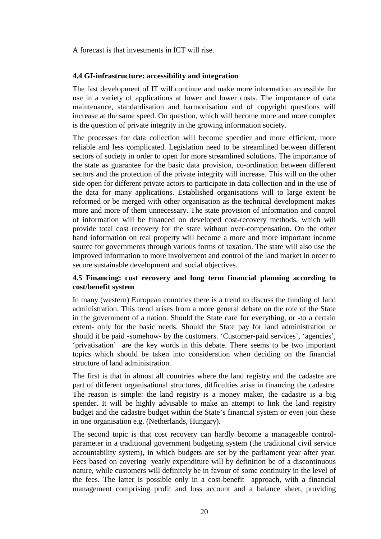A forecast is that investments in ICT will rise.

#### **4.4 GI-infrastructure: accessibility and integration**

The fast development of IT will continue and make more information accessible for use in a variety of applications at lower and lower costs. The importance of data maintenance, standardisation and harmonisation and of copyright questions will increase at the same speed. On question, which will become more and more complex is the question of private integrity in the growing information society.

The processes for data collection will become speedier and more efficient, more reliable and less complicated. Legislation need to be streamlined between different sectors of society in order to open for more streamlined solutions. The importance of the state as guarantee for the basic data provision, co-ordination between different sectors and the protection of the private integrity will increase. This will on the other side open for different private actors to participate in data collection and in the use of the data for many applications. Established organisations will to large extent be reformed or be merged with other organisation as the technical development makes more and more of them unnecessary. The state provision of information and control of information will be financed on developed cost-recovery methods, which will provide total cost recovery for the state without over-compensation. On the other hand information on real property will become a more and more important income source for governments through various forms of taxation. The state will also use the improved information to more involvement and control of the land market in order to secure sustainable development and social objectives.

### **4.5 Financing: cost recovery and long term financial planning according to cost/benefit system**

In many (western) European countries there is a trend to discuss the funding of land administration. This trend arises from a more general debate on the role of the State in the government of a nation. Should the State care for everything, or -to a certain extent- only for the basic needs. Should the State pay for land administration or should it be paid -somehow- by the customers. 'Customer-paid services', 'agencies', 'privatisation' are the key words in this debate. There seems to be two important topics which should be taken into consideration when deciding on the financial structure of land administration.

The first is that in almost all countries where the land registry and the cadastre are part of different organisational structures, difficulties arise in financing the cadastre. The reason is simple: the land registry is a money maker, the cadastre is a big spender. It will be highly advisable to make an attempt to link the land registry budget and the cadastre budget within the State's financial system or even join these in one organisation e.g. (Netherlands, Hungary).

The second topic is that cost recovery can hardly become a manageable controlparameter in a traditional government budgeting system (the traditional civil service accountability system), in which budgets are set by the parliament year after year. Fees based on covering yearly expenditure will by definition be of a discontinuous nature, while customers will definitely be in favour of some continuity in the level of the fees. The latter is possible only in a cost-benefit approach, with a financial management comprising profit and loss account and a balance sheet, providing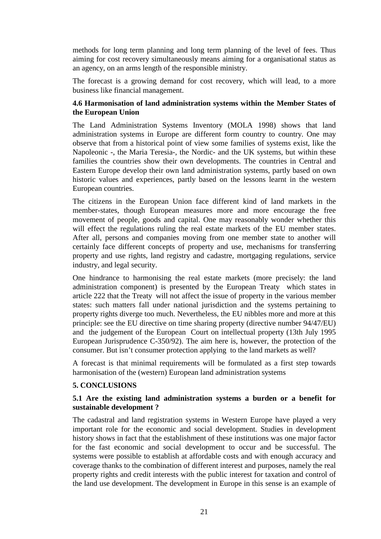methods for long term planning and long term planning of the level of fees. Thus aiming for cost recovery simultaneously means aiming for a organisational status as an agency, on an arms length of the responsible ministry.

The forecast is a growing demand for cost recovery, which will lead, to a more business like financial management.

### **4.6 Harmonisation of land administration systems within the Member States of the European Union**

The Land Administration Systems Inventory (MOLA 1998) shows that land administration systems in Europe are different form country to country. One may observe that from a historical point of view some families of systems exist, like the Napoleonic -, the Maria Teresia-, the Nordic- and the UK systems, but within these families the countries show their own developments. The countries in Central and Eastern Europe develop their own land administration systems, partly based on own historic values and experiences, partly based on the lessons learnt in the western European countries.

The citizens in the European Union face different kind of land markets in the member-states, though European measures more and more encourage the free movement of people, goods and capital. One may reasonably wonder whether this will effect the regulations ruling the real estate markets of the EU member states. After all, persons and companies moving from one member state to another will certainly face different concepts of property and use, mechanisms for transferring property and use rights, land registry and cadastre, mortgaging regulations, service industry, and legal security.

One hindrance to harmonising the real estate markets (more precisely: the land administration component) is presented by the European Treaty which states in article 222 that the Treaty will not affect the issue of property in the various member states: such matters fall under national jurisdiction and the systems pertaining to property rights diverge too much. Nevertheless, the EU nibbles more and more at this principle: see the EU directive on time sharing property (directive number 94/47/EU) and the judgement of the European Court on intellectual property (13th July 1995 European Jurisprudence C-350/92). The aim here is, however, the protection of the consumer. But isn't consumer protection applying to the land markets as well?

A forecast is that minimal requirements will be formulated as a first step towards harmonisation of the (western) European land administration systems

### **5. CONCLUSIONS**

### **5.1 Are the existing land administration systems a burden or a benefit for sustainable development ?**

The cadastral and land registration systems in Western Europe have played a very important role for the economic and social development. Studies in development history shows in fact that the establishment of these institutions was one major factor for the fast economic and social development to occur and be successful. The systems were possible to establish at affordable costs and with enough accuracy and coverage thanks to the combination of different interest and purposes, namely the real property rights and credit interests with the public interest for taxation and control of the land use development. The development in Europe in this sense is an example of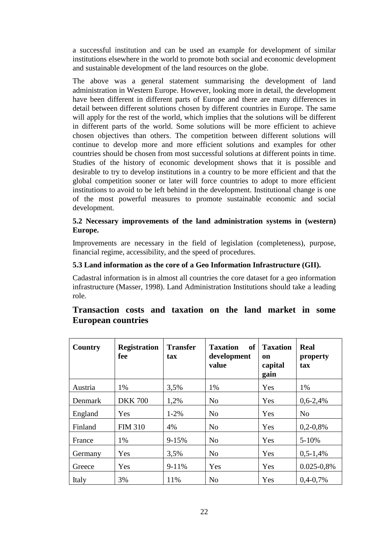a successful institution and can be used an example for development of similar institutions elsewhere in the world to promote both social and economic development and sustainable development of the land resources on the globe.

The above was a general statement summarising the development of land administration in Western Europe. However, looking more in detail, the development have been different in different parts of Europe and there are many differences in detail between different solutions chosen by different countries in Europe. The same will apply for the rest of the world, which implies that the solutions will be different in different parts of the world. Some solutions will be more efficient to achieve chosen objectives than others. The competition between different solutions will continue to develop more and more efficient solutions and examples for other countries should be chosen from most successful solutions at different points in time. Studies of the history of economic development shows that it is possible and desirable to try to develop institutions in a country to be more efficient and that the global competition sooner or later will force countries to adopt to more efficient institutions to avoid to be left behind in the development. Institutional change is one of the most powerful measures to promote sustainable economic and social development.

### **5.2 Necessary improvements of the land administration systems in (western) Europe.**

Improvements are necessary in the field of legislation (completeness), purpose, financial regime, accessibility, and the speed of procedures.

### **5.3 Land information as the core of a Geo Information Infrastructure (GII).**

Cadastral information is in almost all countries the core dataset for a geo information infrastructure (Masser, 1998). Land Administration Institutions should take a leading role.

| <b>Country</b> | <b>Registration</b><br>fee | <b>Transfer</b><br>tax | <b>Taxation</b><br>of<br>development<br>value | <b>Taxation</b><br>on<br>capital<br>gain | Real<br>property<br>tax |
|----------------|----------------------------|------------------------|-----------------------------------------------|------------------------------------------|-------------------------|
| Austria        | 1%                         | 3,5%                   | 1%                                            | Yes                                      | 1%                      |
| <b>Denmark</b> | <b>DKK 700</b>             | 1,2%                   | N <sub>o</sub>                                | Yes                                      | $0.6 - 2.4\%$           |
| England        | Yes                        | $1 - 2\%$              | N <sub>o</sub>                                | Yes                                      | N <sub>0</sub>          |
| Finland        | <b>FIM 310</b>             | 4%                     | No                                            | Yes                                      | $0,2-0,8%$              |
| France         | 1%                         | $9 - 15%$              | No                                            | Yes                                      | $5 - 10\%$              |
| Germany        | Yes                        | 3,5%                   | N <sub>o</sub>                                | Yes                                      | $0,5-1,4%$              |
| Greece         | Yes                        | $9-11%$                | Yes                                           | Yes                                      | $0.025 - 0.8\%$         |
| Italy          | 3%                         | 11%                    | No                                            | Yes                                      | $0,4-0,7%$              |

# **Transaction costs and taxation on the land market in some European countries**